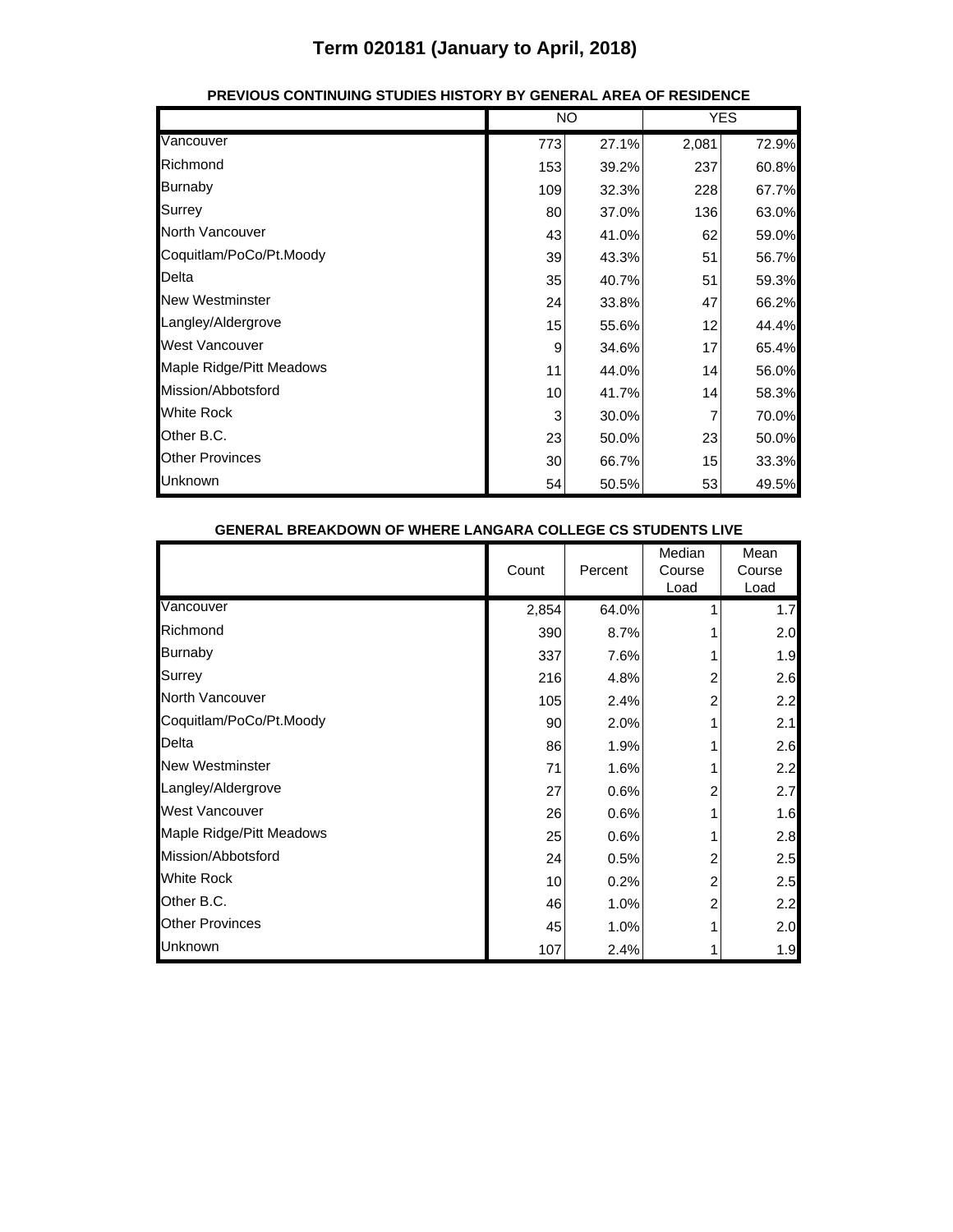|                          |     | NO    |       | <b>YES</b> |  |
|--------------------------|-----|-------|-------|------------|--|
| Vancouver                | 773 | 27.1% | 2,081 | 72.9%      |  |
| Richmond                 | 153 | 39.2% | 237   | 60.8%      |  |
| <b>Burnaby</b>           | 109 | 32.3% | 228   | 67.7%      |  |
| Surrey                   | 80  | 37.0% | 136   | 63.0%      |  |
| North Vancouver          | 43  | 41.0% | 62    | 59.0%      |  |
| Coquitlam/PoCo/Pt.Moody  | 39  | 43.3% | 51    | 56.7%      |  |
| Delta                    | 35  | 40.7% | 51    | 59.3%      |  |
| <b>New Westminster</b>   | 24  | 33.8% | 47    | 66.2%      |  |
| Langley/Aldergrove       | 15  | 55.6% | 12    | 44.4%      |  |
| <b>West Vancouver</b>    | 9   | 34.6% | 17    | 65.4%      |  |
| Maple Ridge/Pitt Meadows | 11  | 44.0% | 14    | 56.0%      |  |
| Mission/Abbotsford       | 10  | 41.7% | 14    | 58.3%      |  |
| <b>White Rock</b>        | 3   | 30.0% |       | 70.0%      |  |
| Other B.C.               | 23  | 50.0% | 23    | 50.0%      |  |
| <b>Other Provinces</b>   | 30  | 66.7% | 15    | 33.3%      |  |
| Unknown                  | 54  | 50.5% | 53    | 49.5%      |  |

#### **PREVIOUS CONTINUING STUDIES HISTORY BY GENERAL AREA OF RESIDENCE**

| <b>GENERAL BREAKDOWN OF WHERE LANGARA COLLEGE CS STUDENTS LIVE</b> |       |                         |                          |                        |
|--------------------------------------------------------------------|-------|-------------------------|--------------------------|------------------------|
|                                                                    | Count | Percent                 | Median<br>Course<br>Load | Mean<br>Course<br>Load |
| Vancouver                                                          | 2,854 | 64.0%                   |                          | 1.7                    |
| Richmond                                                           | 390   | 8.7%                    |                          | 2.0                    |
| <b>Burnaby</b>                                                     | 337   | 7.6%                    |                          | 1.9                    |
| Surrey                                                             | 216   | 4.8%                    | 2                        | 2.6                    |
| North Vancouver                                                    | 105   | 2.4%                    | 2                        | 2.2                    |
| Coquitlam/PoCo/Pt.Moody                                            | 90    | 2.0%                    |                          | 2.1                    |
| Delta                                                              | 86    | 1.9%                    |                          | 2.6                    |
| <b>New Westminster</b>                                             | 71    | 1.6%                    |                          | 2.2                    |
| Langley/Aldergrove                                                 | 27    | 0.6%                    | 2                        | 2.7                    |
| <b>West Vancouver</b>                                              |       | 26<br>0.6%              |                          | 1.6                    |
| Maple Ridge/Pitt Meadows                                           |       | 0.6%<br>25              |                          | 2.8                    |
| Mission/Abbotsford                                                 | 24    | 0.5%                    | 2                        | 2.5                    |
| <b>White Rock</b>                                                  |       | 0.2%<br>10 <sup>1</sup> | 2                        | 2.5                    |
| Other B.C.                                                         | 46    | 1.0%                    | 2                        | 2.2                    |
| <b>Other Provinces</b>                                             |       | 45<br>1.0%              |                          | 2.0                    |
| Unknown                                                            | 107   | 2.4%                    |                          | 1.9                    |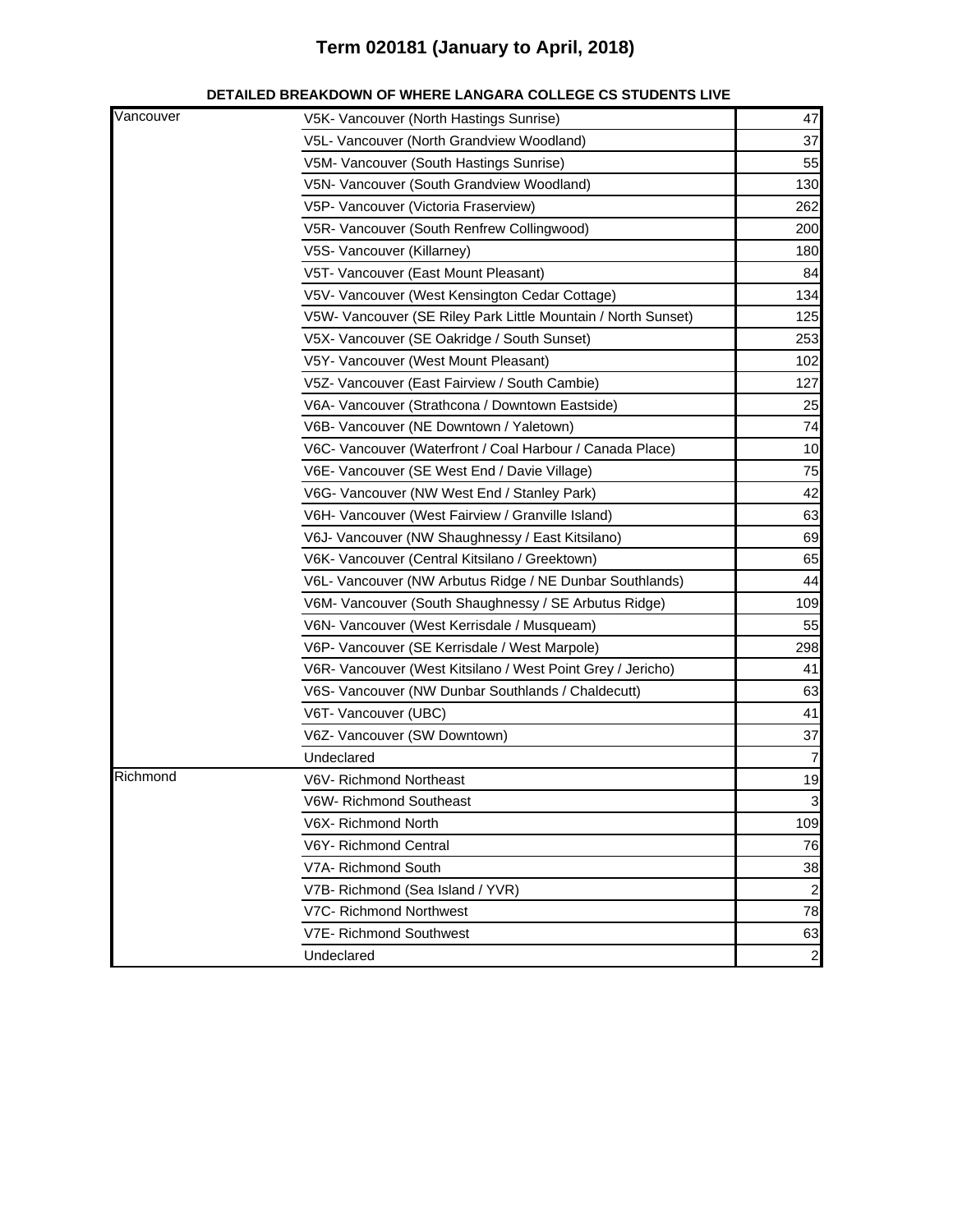| Vancouver | V5K- Vancouver (North Hastings Sunrise)                       | 47             |
|-----------|---------------------------------------------------------------|----------------|
|           | V5L- Vancouver (North Grandview Woodland)                     | 37             |
|           | V5M- Vancouver (South Hastings Sunrise)                       | 55             |
|           | V5N- Vancouver (South Grandview Woodland)                     | 130            |
|           | V5P- Vancouver (Victoria Fraserview)                          | 262            |
|           | V5R- Vancouver (South Renfrew Collingwood)                    | 200            |
|           | V5S- Vancouver (Killarney)                                    | 180            |
|           | V5T- Vancouver (East Mount Pleasant)                          | 84             |
|           | V5V- Vancouver (West Kensington Cedar Cottage)                | 134            |
|           | V5W- Vancouver (SE Riley Park Little Mountain / North Sunset) | 125            |
|           | V5X- Vancouver (SE Oakridge / South Sunset)                   | 253            |
|           | V5Y- Vancouver (West Mount Pleasant)                          | 102            |
|           | V5Z- Vancouver (East Fairview / South Cambie)                 | 127            |
|           | V6A- Vancouver (Strathcona / Downtown Eastside)               | 25             |
|           | V6B- Vancouver (NE Downtown / Yaletown)                       | 74             |
|           | V6C- Vancouver (Waterfront / Coal Harbour / Canada Place)     | 10             |
|           | V6E- Vancouver (SE West End / Davie Village)                  | 75             |
|           | V6G- Vancouver (NW West End / Stanley Park)                   | 42             |
|           | V6H- Vancouver (West Fairview / Granville Island)             | 63             |
|           | V6J- Vancouver (NW Shaughnessy / East Kitsilano)              | 69             |
|           | V6K- Vancouver (Central Kitsilano / Greektown)                | 65             |
|           | V6L- Vancouver (NW Arbutus Ridge / NE Dunbar Southlands)      | 44             |
|           | V6M- Vancouver (South Shaughnessy / SE Arbutus Ridge)         | 109            |
|           | V6N- Vancouver (West Kerrisdale / Musqueam)                   | 55             |
|           | V6P- Vancouver (SE Kerrisdale / West Marpole)                 | 298            |
|           | V6R- Vancouver (West Kitsilano / West Point Grey / Jericho)   | 41             |
|           | V6S- Vancouver (NW Dunbar Southlands / Chaldecutt)            | 63             |
|           | V6T- Vancouver (UBC)                                          | 41             |
|           | V6Z- Vancouver (SW Downtown)                                  | 37             |
|           | Undeclared                                                    | $\overline{7}$ |
| Richmond  | V6V- Richmond Northeast                                       | 19             |
|           | V6W- Richmond Southeast                                       | વ              |
|           | V6X-Richmond North                                            | 109            |
|           | V6Y- Richmond Central                                         | 76             |
|           | V7A- Richmond South                                           | 38             |
|           | V7B- Richmond (Sea Island / YVR)                              | $\overline{a}$ |
|           | V7C- Richmond Northwest                                       | 78             |
|           | V7E- Richmond Southwest                                       | 63             |
|           | Undeclared                                                    | $\overline{2}$ |

#### **DETAILED BREAKDOWN OF WHERE LANGARA COLLEGE CS STUDENTS LIVE**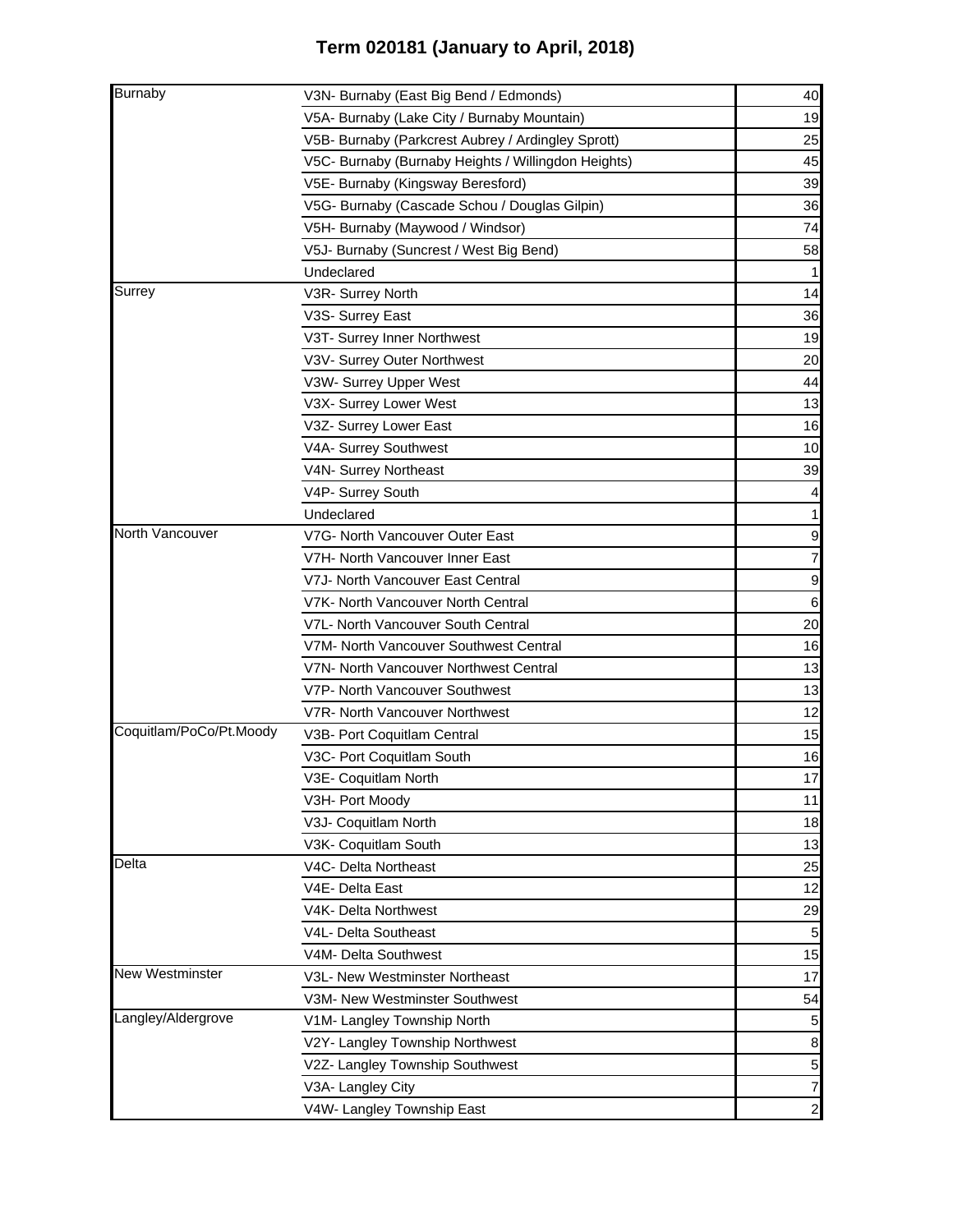| <b>Burnaby</b>          | V3N- Burnaby (East Big Bend / Edmonds)              | 40             |
|-------------------------|-----------------------------------------------------|----------------|
|                         | V5A- Burnaby (Lake City / Burnaby Mountain)         | 19             |
|                         | V5B- Burnaby (Parkcrest Aubrey / Ardingley Sprott)  | 25             |
|                         | V5C- Burnaby (Burnaby Heights / Willingdon Heights) | 45             |
|                         | V5E- Burnaby (Kingsway Beresford)                   | 39             |
|                         | V5G- Burnaby (Cascade Schou / Douglas Gilpin)       | 36             |
|                         | V5H- Burnaby (Maywood / Windsor)                    | 74             |
|                         | V5J- Burnaby (Suncrest / West Big Bend)             | 58             |
|                         | Undeclared                                          |                |
| Surrey                  | V3R- Surrey North                                   | 14             |
|                         | V3S- Surrey East                                    | 36             |
|                         | V3T- Surrey Inner Northwest                         | 19             |
|                         | V3V- Surrey Outer Northwest                         | 20             |
|                         | V3W- Surrey Upper West                              | 44             |
|                         | V3X- Surrey Lower West                              | 13             |
|                         | V3Z- Surrey Lower East                              | 16             |
|                         | V4A- Surrey Southwest                               | 10             |
|                         | V4N- Surrey Northeast                               | 39             |
|                         | V4P- Surrey South                                   |                |
|                         | Undeclared                                          |                |
| North Vancouver         | V7G- North Vancouver Outer East                     | 9              |
|                         | V7H- North Vancouver Inner East                     |                |
|                         | V7J- North Vancouver East Central                   | 9              |
|                         | V7K- North Vancouver North Central                  | 6              |
|                         | V7L- North Vancouver South Central                  | 20             |
|                         | V7M- North Vancouver Southwest Central              | 16             |
|                         | V7N- North Vancouver Northwest Central              | 13             |
|                         | V7P- North Vancouver Southwest                      | 13             |
|                         | V7R- North Vancouver Northwest                      | 12             |
| Coquitlam/PoCo/Pt.Moody | V3B- Port Coquitlam Central                         | 15             |
|                         | V3C- Port Coquitlam South                           | 16             |
|                         | V3E- Coquitlam North                                | 17             |
|                         | V3H- Port Moody                                     | 11             |
|                         | V3J- Coquitlam North                                | 18             |
|                         | V3K- Coquitlam South                                | 13             |
| Delta                   | V4C- Delta Northeast                                | 25             |
|                         | V4E- Delta East                                     | 12             |
|                         | V4K- Delta Northwest                                | 29             |
|                         | V4L- Delta Southeast                                | 5              |
|                         | V4M- Delta Southwest                                | 15             |
| <b>New Westminster</b>  | V3L- New Westminster Northeast                      | 17             |
|                         | V3M- New Westminster Southwest                      | 54             |
| Langley/Aldergrove      | V1M- Langley Township North                         | 5              |
|                         | V2Y- Langley Township Northwest                     | 8              |
|                         | V2Z- Langley Township Southwest                     | $\overline{5}$ |
|                         | V3A- Langley City                                   | 7              |
|                         | V4W- Langley Township East                          | $\mathbf{2}$   |
|                         |                                                     |                |